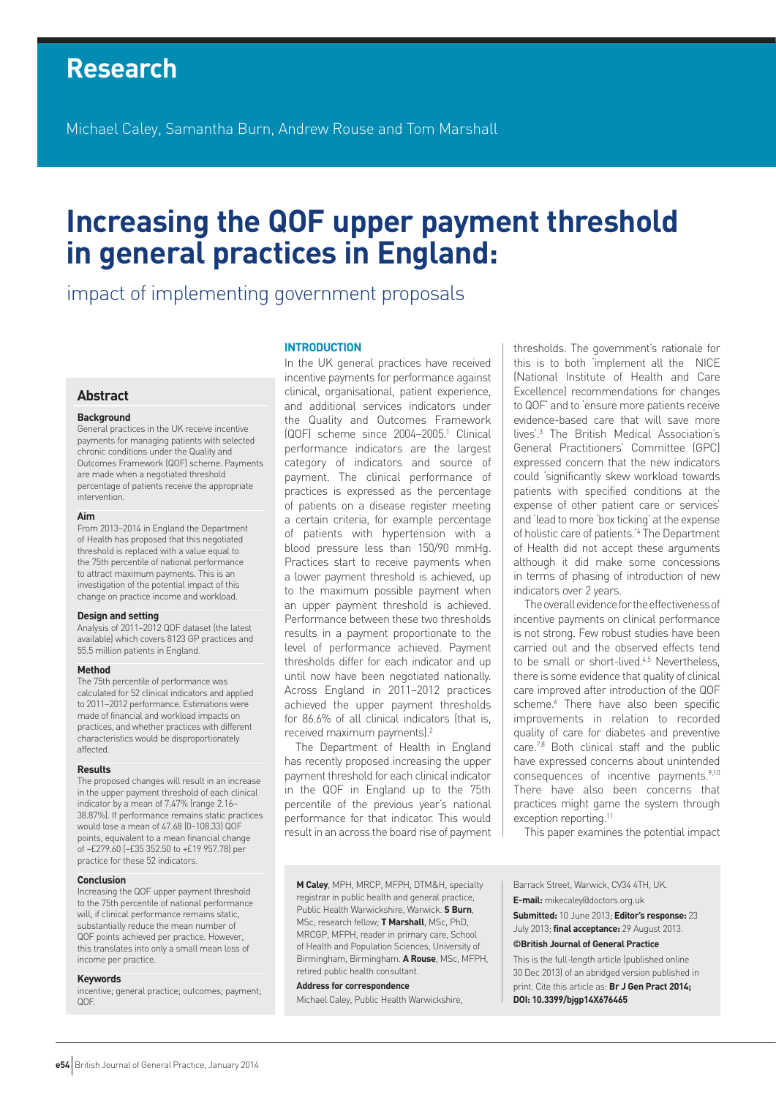# **Research**

Michael Caley, Samantha Burn, Andrew Rouse and Tom Marshall

# **Increasing the QOF upper payment threshold in general practices in England:**

impact of implementing government proposals

# **Abstract**

#### **Background**

General practices in the UK receive incentive payments for managing patients with selected chronic conditions under the Quality and Outcomes Framework (QOF) scheme. Payments are made when a negotiated threshold percentage of patients receive the appropriate intervention.

#### **Aim**

From 2013–2014 in England the Department of Health has proposed that this negotiated threshold is replaced with a value equal to the 75th percentile of national performance to attract maximum payments. This is an investigation of the potential impact of this change on practice income and workload.

#### **Design and setting**

Analysis of 2011–2012 QOF dataset (the latest available) which covers 8123 GP practices and 55.5 million patients in England.

#### **Method**

The 75th percentile of performance was calculated for 52 clinical indicators and applied to 2011–2012 performance. Estimations were made of financial and workload impacts on practices, and whether practices with different characteristics would be disproportionately affected.

#### **Results**

The proposed changes will result in an increase in the upper payment threshold of each clinical indicator by a mean of 7.47% (range 2.16– 38.87%). If performance remains static practices would lose a mean of 47.68 (0–108.33) QOF points, equivalent to a mean financial change of –£279.60 (–£35 352.50 to +£19 957.78) per practice for these 52 indicators.

#### **Conclusion**

Increasing the QOF upper payment threshold to the 75th percentile of national performance will, if clinical performance remains static, substantially reduce the mean number of QOF points achieved per practice. However, this translates into only a small mean loss of income per practice.

#### **Keywords**

incentive; general practice; outcomes; payment;  $QOF$ 

#### **INTRODUCTION**

In the UK general practices have received incentive payments for performance against clinical, organisational, patient experience, and additional services indicators under the Quality and Outcomes Framework (QOF) scheme since 2004–2005.1 Clinical performance indicators are the largest category of indicators and source of payment. The clinical performance of practices is expressed as the percentage of patients on a disease register meeting a certain criteria, for example percentage of patients with hypertension with a blood pressure less than 150/90 mmHg. Practices start to receive payments when a lower payment threshold is achieved, up to the maximum possible payment when an upper payment threshold is achieved. Performance between these two thresholds results in a payment proportionate to the level of performance achieved. Payment thresholds differ for each indicator and up until now have been negotiated nationally. Across England in 2011–2012 practices achieved the upper payment thresholds for 86.6% of all clinical indicators (that is, received maximum payments).2

The Department of Health in England has recently proposed increasing the upper payment threshold for each clinical indicator in the QOF in England up to the 75th percentile of the previous year's national performance for that indicator. This would result in an across the board rise of payment thresholds. The government's rationale for this is to both 'implement all the NICE (National Institute of Health and Care Excellence) recommendations for changes to QOF' and to 'ensure more patients receive evidence-based care that will save more lives'.3 The British Medical Association's General Practitioners' Committee (GPC) expressed concern that the new indicators could 'significantly skew workload towards patients with specified conditions at the expense of other patient care or services' and 'lead to more 'box ticking' at the expense of holistic care of patients.'4 The Department of Health did not accept these arguments although it did make some concessions in terms of phasing of introduction of new indicators over 2 years.

The overall evidence for the effectiveness of incentive payments on clinical performance is not strong. Few robust studies have been carried out and the observed effects tend to be small or short-lived.<sup>4,5</sup> Nevertheless, there is some evidence that quality of clinical care improved after introduction of the QOF scheme.<sup>6</sup> There have also been specific improvements in relation to recorded quality of care for diabetes and preventive care.7,8 Both clinical staff and the public have expressed concerns about unintended consequences of incentive payments.<sup>9,10</sup> There have also been concerns that practices might game the system through exception reporting.<sup>11</sup>

This paper examines the potential impact

**M Caley**, MPH, MRCP, MFPH, DTM&H, specialty registrar in public health and general practice, Public Health Warwickshire, Warwick. **S Burn**, MSc, research fellow; **T Marshall**, MSc, PhD, MRCGP, MFPH, reader in primary care, School of Health and Population Sciences, University of Birmingham, Birmingham. **A Rouse**, MSc, MFPH, retired public health consultant.

#### **Address for correspondence**

Michael Caley, Public Health Warwickshire,

**E-mail:** mikecaley@doctors.org.uk **Submitted:** 10 June 2013; **Editor's response:** 23 July 2013; **final acceptance:** 29 August 2013. **©British Journal of General Practice** This is the full-length article (published online

Barrack Street, Warwick, CV34 4TH, UK.

30 Dec 2013) of an abridged version published in print. Cite this article as: **Br J Gen Pract 2014; DOI: 10.3399/bjgp14X676465**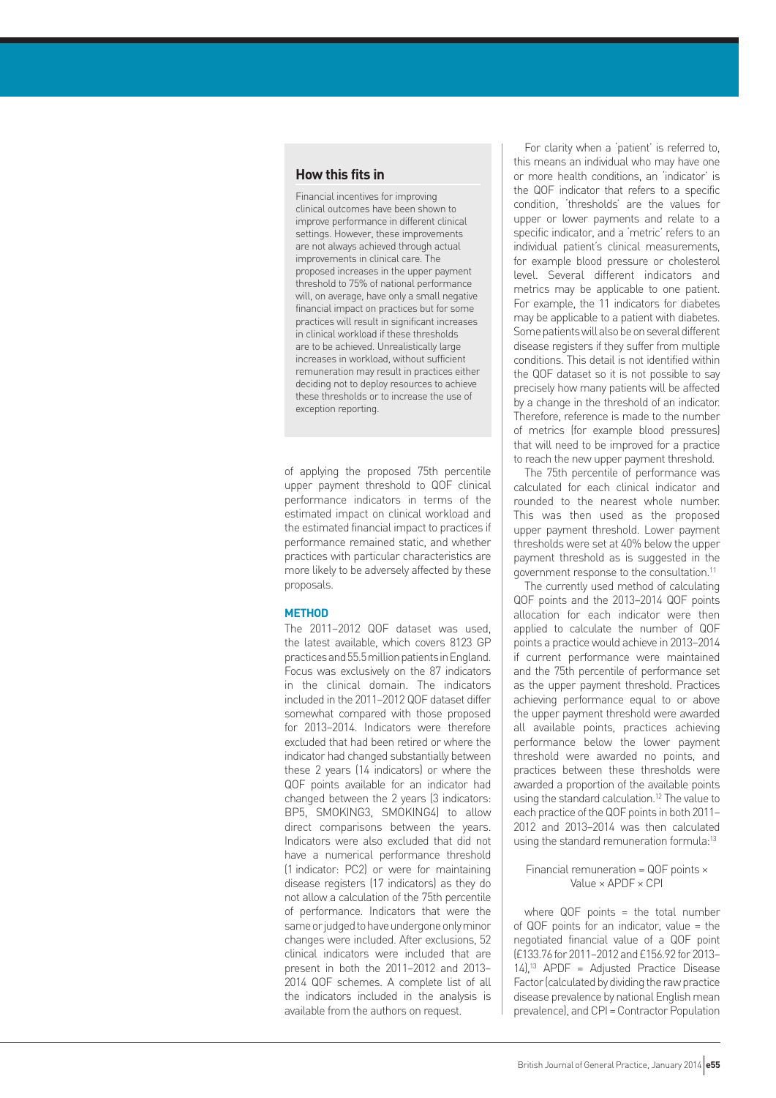# **How this fits in**

Financial incentives for improving clinical outcomes have been shown to improve performance in different clinical settings. However, these improvements are not always achieved through actual improvements in clinical care. The proposed increases in the upper payment threshold to 75% of national performance will, on average, have only a small negative financial impact on practices but for some practices will result in significant increases in clinical workload if these thresholds are to be achieved. Unrealistically large increases in workload, without sufficient remuneration may result in practices either deciding not to deploy resources to achieve these thresholds or to increase the use of exception reporting.

of applying the proposed 75th percentile upper payment threshold to QOF clinical performance indicators in terms of the estimated impact on clinical workload and the estimated financial impact to practices if performance remained static, and whether practices with particular characteristics are more likely to be adversely affected by these proposals.

#### **METHOD**

The 2011–2012 QOF dataset was used, the latest available, which covers 8123 GP practices and 55.5 million patients in England. Focus was exclusively on the 87 indicators in the clinical domain. The indicators included in the 2011–2012 QOF dataset differ somewhat compared with those proposed for 2013–2014. Indicators were therefore excluded that had been retired or where the indicator had changed substantially between these 2 years (14 indicators) or where the QOF points available for an indicator had changed between the 2 years (3 indicators: BP5, SMOKING3, SMOKING4) to allow direct comparisons between the years. Indicators were also excluded that did not have a numerical performance threshold (1 indicator: PC2) or were for maintaining disease registers (17 indicators) as they do not allow a calculation of the 75th percentile of performance. Indicators that were the same or judged to have undergone only minor changes were included. After exclusions, 52 clinical indicators were included that are present in both the 2011–2012 and 2013– 2014 QOF schemes. A complete list of all the indicators included in the analysis is available from the authors on request.

For clarity when a 'patient' is referred to, this means an individual who may have one or more health conditions, an 'indicator' is the QOF indicator that refers to a specific condition, 'thresholds' are the values for upper or lower payments and relate to a specific indicator, and a 'metric' refers to an individual patient's clinical measurements, for example blood pressure or cholesterol level. Several different indicators and metrics may be applicable to one patient. For example, the 11 indicators for diabetes may be applicable to a patient with diabetes. Some patients will also be on several different disease registers if they suffer from multiple conditions. This detail is not identified within the QOF dataset so it is not possible to say precisely how many patients will be affected by a change in the threshold of an indicator. Therefore, reference is made to the number of metrics (for example blood pressures) that will need to be improved for a practice to reach the new upper payment threshold.

The 75th percentile of performance was calculated for each clinical indicator and rounded to the nearest whole number. This was then used as the proposed upper payment threshold. Lower payment thresholds were set at 40% below the upper payment threshold as is suggested in the government response to the consultation.11

The currently used method of calculating QOF points and the 2013–2014 QOF points allocation for each indicator were then applied to calculate the number of QOF points a practice would achieve in 2013–2014 if current performance were maintained and the 75th percentile of performance set as the upper payment threshold. Practices achieving performance equal to or above the upper payment threshold were awarded all available points, practices achieving performance below the lower payment threshold were awarded no points, and practices between these thresholds were awarded a proportion of the available points using the standard calculation.12 The value to each practice of the QOF points in both 2011– 2012 and 2013–2014 was then calculated using the standard remuneration formula:13

# Financial remuneration =  $QOF$  points  $\times$ Value × APDF × CPI

where QOF points = the total number of QOF points for an indicator, value = the negotiated financial value of a QOF point (£133.76 for 2011–2012 and £156.92 for 2013– 14),13 APDF = Adjusted Practice Disease Factor (calculated by dividing the raw practice disease prevalence by national English mean prevalence), and CPI =Contractor Population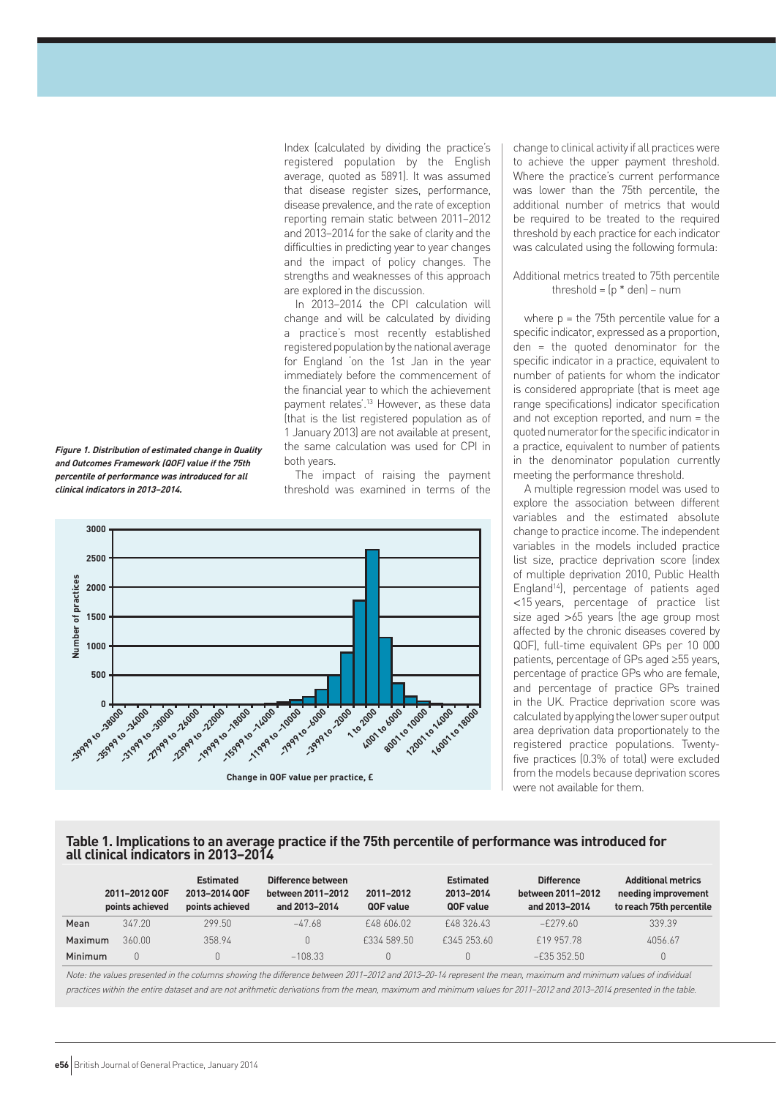Index (calculated by dividing the practice's registered population by the English average, quoted as 5891). It was assumed that disease register sizes, performance, disease prevalence, and the rate of exception reporting remain static between 2011–2012 and 2013–2014 for the sake of clarity and the difficulties in predicting year to year changes and the impact of policy changes. The strengths and weaknesses of this approach are explored in the discussion.

In 2013–2014 the CPI calculation will change and will be calculated by dividing a practice's most recently established registered population by the national average for England 'on the 1st Jan in the year immediately before the commencement of the financial year to which the achievement payment relates'.<sup>13</sup> However, as these data (that is the list registered population as of 1 January 2013) are not available at present, the same calculation was used for CPI in both years.

The impact of raising the payment threshold was examined in terms of the



change to clinical activity if all practices were to achieve the upper payment threshold. Where the practice's current performance was lower than the 75th percentile, the additional number of metrics that would be required to be treated to the required threshold by each practice for each indicator was calculated using the following formula:

# Additional metrics treated to 75th percentile threshold =  $(p * den)$  – num

where  $p =$  the 75th percentile value for a specific indicator, expressed as a proportion, den = the quoted denominator for the specific indicator in a practice, equivalent to number of patients for whom the indicator is considered appropriate (that is meet age range specifications) indicator specification and not exception reported, and num = the quoted numerator for the specific indicator in a practice, equivalent to number of patients in the denominator population currently meeting the performance threshold.

A multiple regression model was used to explore the association between different variables and the estimated absolute change to practice income. The independent variables in the models included practice list size, practice deprivation score (index of multiple deprivation 2010, Public Health England14), percentage of patients aged <15 years, percentage of practice list size aged >65 years (the age group most affected by the chronic diseases covered by QOF), full-time equivalent GPs per 10 000 patients, percentage of GPs aged ≥55 years, percentage of practice GPs who are female, and percentage of practice GPs trained in the UK. Practice deprivation score was calculated by applying the lower super output area deprivation data proportionately to the registered practice populations. Twentyfive practices (0.3% of total) were excluded from the models because deprivation scores were not available for them.

# **Table 1. Implications to an average practice if the 75th percentile of performance was introduced for all clinical indicators in 2013–2014**

|         | 2011-2012 QOF<br>points achieved | <b>Estimated</b><br>2013-2014 QOF<br>points achieved | Difference between<br>between 2011-2012<br>and 2013-2014 | 2011-2012<br>QOF value | <b>Estimated</b><br>2013-2014<br>QOF value | <b>Difference</b><br>between 2011-2012<br>and 2013-2014 | <b>Additional metrics</b><br>needing improvement<br>to reach 75th percentile |
|---------|----------------------------------|------------------------------------------------------|----------------------------------------------------------|------------------------|--------------------------------------------|---------------------------------------------------------|------------------------------------------------------------------------------|
| Mean    | 347.20                           | 299.50                                               | $-47.68$                                                 | £48,606.02             | £48 326.43                                 | $-5279.60$                                              | 339.39                                                                       |
| Maximum | 360.00                           | 358.94                                               | $\Omega$                                                 | £334 589.50            | £345 253.60                                | £19 957.78                                              | 4056.67                                                                      |
| Minimum |                                  |                                                      | $-108.33$                                                |                        |                                            | $-635352.50$                                            |                                                                              |

Note: the values presented in the columns showing the difference between 2011–2012 and 2013–20-14 represent the mean, maximum and minimum values of individual practices within the entire dataset and are not arithmetic derivations from the mean, maximum and minimum values for 2011–2012 and 2013–2014 presented in the table.

**Figure 1. Distribution of estimated change in Quality and Outcomes Framework (QOF) value if the 75th percentile of performance was introduced for all clinical indicators in 2013–2014.**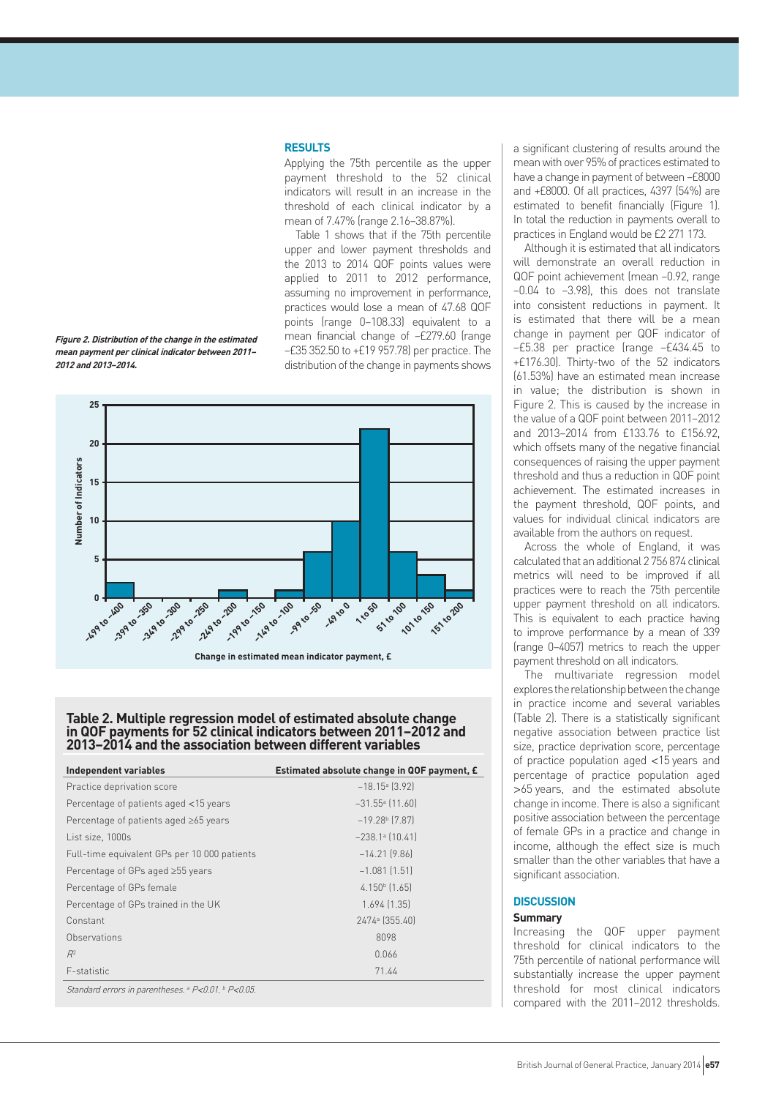# **RESULTS**

Applying the 75th percentile as the upper payment threshold to the 52 clinical indicators will result in an increase in the threshold of each clinical indicator by a mean of 7.47% (range 2.16–38.87%).

Table 1 shows that if the 75th percentile upper and lower payment thresholds and the 2013 to 2014 QOF points values were applied to 2011 to 2012 performance, assuming no improvement in performance, practices would lose a mean of 47.68 QOF points (range 0–108.33) equivalent to a mean financial change of –£279.60 (range –£35 352.50 to +£19 957.78) per practice. The distribution of the change in payments shows



## **Table 2. Multiple regression model of estimated absolute change in QOF payments for 52 clinical indicators between 2011–2012 and 2013–2014 and the association between different variables**

| Independent variables                               | Estimated absolute change in QOF payment, E |  |  |  |  |
|-----------------------------------------------------|---------------------------------------------|--|--|--|--|
| Practice deprivation score                          | $-18.15$ <sup>a</sup> (3.92)                |  |  |  |  |
| Percentage of patients aged <15 years               | $-31.55$ <sup>a</sup> $(11.60)$             |  |  |  |  |
| Percentage of patients aged ≥65 years               | $-19.28b$ [7.87]                            |  |  |  |  |
| List size, 1000s                                    | $-238.1^{\circ}$ (10.41)                    |  |  |  |  |
| Full-time equivalent GPs per 10 000 patients        | $-14.21$ (9.86)                             |  |  |  |  |
| Percentage of GPs aged ≥55 years                    | $-1.081(1.51)$                              |  |  |  |  |
| Percentage of GPs female                            | $4.150b$ (1.65)                             |  |  |  |  |
| Percentage of GPs trained in the UK                 | 1.694 [1.35]                                |  |  |  |  |
| Constant                                            | 2474 <sup>a</sup> (355.40)                  |  |  |  |  |
| Observations                                        | 8098                                        |  |  |  |  |
| $R^2$                                               | 0.066                                       |  |  |  |  |
| F-statistic                                         | 71.44                                       |  |  |  |  |
| Standard errors in parentheses. ª P<0.01. b P<0.05. |                                             |  |  |  |  |

a significant clustering of results around the mean with over 95% of practices estimated to have a change in payment of between –£8000 and +£8000. Of all practices, 4397 (54%) are estimated to benefit financially (Figure 1). In total the reduction in payments overall to practices in England would be £2 271 173.

Although it is estimated that all indicators will demonstrate an overall reduction in QOF point achievement (mean –0.92, range –0.04 to –3.98), this does not translate into consistent reductions in payment. It is estimated that there will be a mean change in payment per QOF indicator of –£5.38 per practice (range –£434.45 to +£176.30). Thirty-two of the 52 indicators (61.53%) have an estimated mean increase in value; the distribution is shown in Figure 2. This is caused by the increase in the value of a QOF point between 2011–2012 and 2013–2014 from £133.76 to £156.92, which offsets many of the negative financial consequences of raising the upper payment threshold and thus a reduction in QOF point achievement. The estimated increases in the payment threshold, QOF points, and values for individual clinical indicators are available from the authors on request.

Across the whole of England, it was calculated that an additional 2 756 874 clinical metrics will need to be improved if all practices were to reach the 75th percentile upper payment threshold on all indicators. This is equivalent to each practice having to improve performance by a mean of 339 (range 0–4057) metrics to reach the upper payment threshold on all indicators.

The multivariate regression model explores the relationship between the change in practice income and several variables (Table 2). There is a statistically significant negative association between practice list size, practice deprivation score, percentage of practice population aged <15 years and percentage of practice population aged >65 years, and the estimated absolute change in income. There is also a significant positive association between the percentage of female GPs in a practice and change in income, although the effect size is much smaller than the other variables that have a significant association.

## **DISCUSSION**

#### **Summary**

Increasing the QOF upper payment threshold for clinical indicators to the 75th percentile of national performance will substantially increase the upper payment threshold for most clinical indicators compared with the 2011–2012 thresholds.

**Figure 2. Distribution of the change in the estimated mean payment per clinical indicator between 2011– 2012 and 2013–2014.**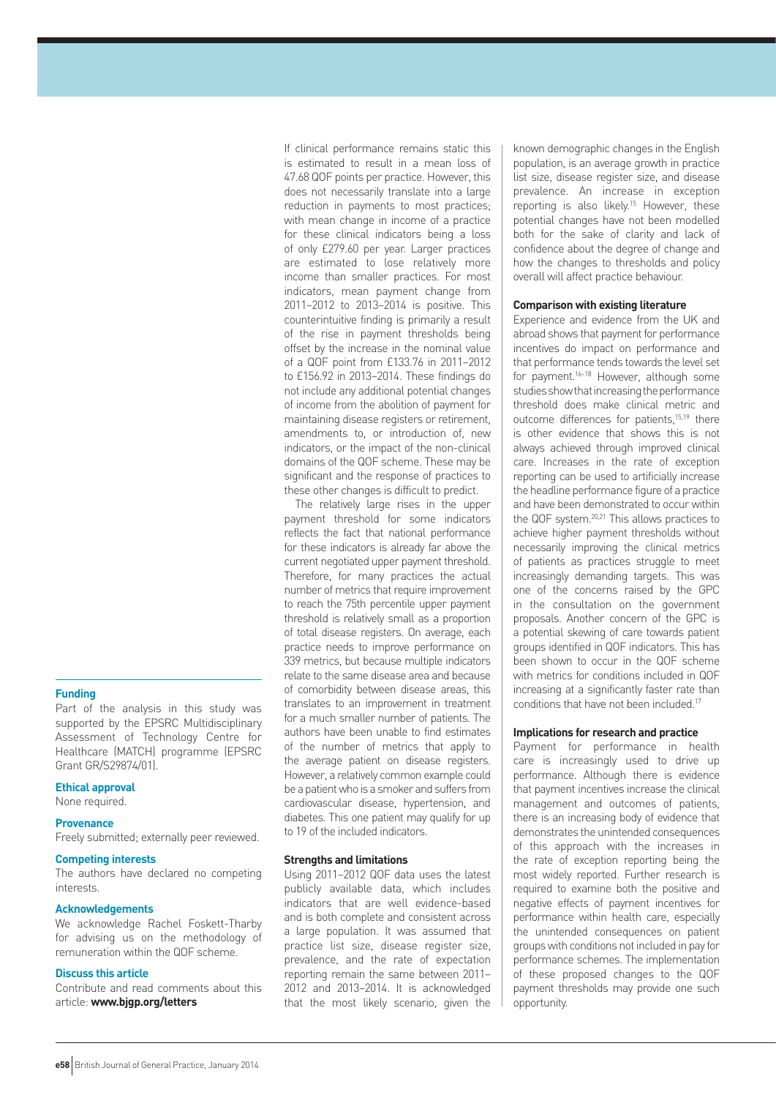# **Funding**

Part of the analysis in this study was supported by the EPSRC Multidisciplinary Assessment of Technology Centre for Healthcare (MATCH) programme (EPSRC Grant GR/S29874/01).

#### **Ethical approval**

None required.

#### **Provenance**

Freely submitted; externally peer reviewed.

# **Competing interests**

The authors have declared no competing interests.

# **Acknowledgements**

We acknowledge Rachel Foskett-Tharby for advising us on the methodology of remuneration within the QOF scheme.

# **Discuss this article**

Contribute and read comments about this article: **www.bjgp.org/letters**

If clinical performance remains static this is estimated to result in a mean loss of 47.68 QOF points per practice. However, this does not necessarily translate into a large reduction in payments to most practices; with mean change in income of a practice for these clinical indicators being a loss of only £279.60 per year. Larger practices are estimated to lose relatively more income than smaller practices. For most indicators, mean payment change from 2011–2012 to 2013–2014 is positive. This counterintuitive finding is primarily a result of the rise in payment thresholds being offset by the increase in the nominal value of a QOF point from £133.76 in 2011–2012 to £156.92 in 2013–2014. These findings do not include any additional potential changes of income from the abolition of payment for maintaining disease registers or retirement, amendments to, or introduction of, new indicators, or the impact of the non-clinical domains of the QOF scheme. These may be significant and the response of practices to these other changes is difficult to predict.

The relatively large rises in the upper payment threshold for some indicators reflects the fact that national performance for these indicators is already far above the current negotiated upper payment threshold. Therefore, for many practices the actual number of metrics that require improvement to reach the 75th percentile upper payment threshold is relatively small as a proportion of total disease registers. On average, each practice needs to improve performance on 339 metrics, but because multiple indicators relate to the same disease area and because of comorbidity between disease areas, this translates to an improvement in treatment for a much smaller number of patients. The authors have been unable to find estimates of the number of metrics that apply to the average patient on disease registers. However, a relatively common example could be a patient who is a smoker and suffers from cardiovascular disease, hypertension, and diabetes. This one patient may qualify for up to 19 of the included indicators.

#### **Strengths and limitations**

Using 2011–2012 QOF data uses the latest publicly available data, which includes indicators that are well evidence-based and is both complete and consistent across a large population. It was assumed that practice list size, disease register size, prevalence, and the rate of expectation reporting remain the same between 2011– 2012 and 2013–2014. It is acknowledged that the most likely scenario, given the

known demographic changes in the English population, is an average growth in practice list size, disease register size, and disease prevalence. An increase in exception reporting is also likely.<sup>15</sup> However, these potential changes have not been modelled both for the sake of clarity and lack of confidence about the degree of change and how the changes to thresholds and policy overall will affect practice behaviour.

# **Comparison with existing literature**

Experience and evidence from the UK and abroad shows that payment for performance incentives do impact on performance and that performance tends towards the level set for payment.<sup>16-18</sup> However, although some studies show that increasing the performance threshold does make clinical metric and outcome differences for patients,<sup>15,19</sup> there is other evidence that shows this is not always achieved through improved clinical care. Increases in the rate of exception reporting can be used to artificially increase the headline performance figure of a practice and have been demonstrated to occur within the QOF system.20,21 This allows practices to achieve higher payment thresholds without necessarily improving the clinical metrics of patients as practices struggle to meet increasingly demanding targets. This was one of the concerns raised by the GPC in the consultation on the government proposals. Another concern of the GPC is a potential skewing of care towards patient groups identified in QOF indicators. This has been shown to occur in the QOF scheme with metrics for conditions included in QOF increasing at a significantly faster rate than conditions that have not been included.17

#### **Implications for research and practice**

Payment for performance in health care is increasingly used to drive up performance. Although there is evidence that payment incentives increase the clinical management and outcomes of patients, there is an increasing body of evidence that demonstrates the unintended consequences of this approach with the increases in the rate of exception reporting being the most widely reported. Further research is required to examine both the positive and negative effects of payment incentives for performance within health care, especially the unintended consequences on patient groups with conditions not included in pay for performance schemes. The implementation of these proposed changes to the QOF payment thresholds may provide one such opportunity.